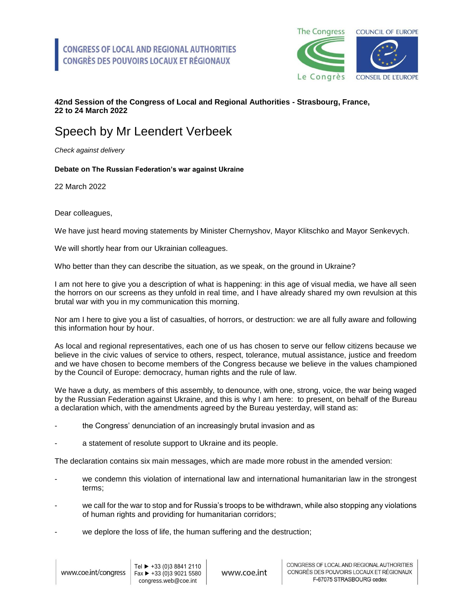

## **42nd Session of the Congress of Local and Regional Authorities - Strasbourg, France, 22 to 24 March 2022**

## Speech by Mr Leendert Verbeek

*Check against delivery*

## **Debate on The Russian Federation's war against Ukraine**

22 March 2022

Dear colleagues,

We have just heard moving statements by Minister Chernyshov, Mayor Klitschko and Mayor Senkevych.

We will shortly hear from our Ukrainian colleagues.

Who better than they can describe the situation, as we speak, on the ground in Ukraine?

I am not here to give you a description of what is happening: in this age of visual media, we have all seen the horrors on our screens as they unfold in real time, and I have already shared my own revulsion at this brutal war with you in my communication this morning.

Nor am I here to give you a list of casualties, of horrors, or destruction: we are all fully aware and following this information hour by hour.

As local and regional representatives, each one of us has chosen to serve our fellow citizens because we believe in the civic values of service to others, respect, tolerance, mutual assistance, justice and freedom and we have chosen to become members of the Congress because we believe in the values championed by the Council of Europe: democracy, human rights and the rule of law.

We have a duty, as members of this assembly, to denounce, with one, strong, voice, the war being waged by the Russian Federation against Ukraine, and this is why I am here: to present, on behalf of the Bureau a declaration which, with the amendments agreed by the Bureau yesterday, will stand as:

- the Congress' denunciation of an increasingly brutal invasion and as
- a statement of resolute support to Ukraine and its people.

The declaration contains six main messages, which are made more robust in the amended version:

- we condemn this violation of international law and international humanitarian law in the strongest terms;
- we call for the war to stop and for Russia's troops to be withdrawn, while also stopping any violations of human rights and providing for humanitarian corridors;
- we deplore the loss of life, the human suffering and the destruction;

www.coe.int